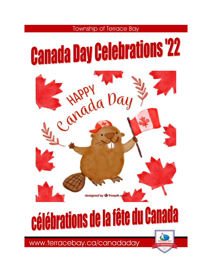



# célébrations de la fête du Canada

www.terracebay.ca/canadaday

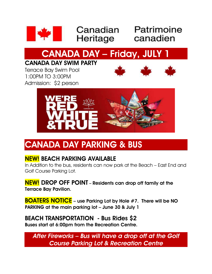

**Example 18 Canadian** Patrimoin

## Canadian Patrimoine

## **CANADA DAY – Friday, JULY 1**

### **CANADA DAY SWIM PARTY**

Terrace Bay Swim Pool 1:00PM TO 3:00PM Admission: \$2 person





### **CANADA DAY PARKING & BUS**

### **NEW! BEACH PARKING AVAILABLE**

In Addition to the bus, residents can now park at the Beach – East End and Golf Course Parking Lot.

**NEW! DROP OFF POINT – Residents can drop off family at the Terrace Bay Pavilion.**

**BOATERS NOTICE – use Parking Lot by Hole #7. There will be NO PARKING at the main parking lot – June 30 & July 1**

#### **BEACH TRANSPORTATION - Bus Rides \$2**

**Buses start at 6:00pm from the Recreation Centre.**

*After Fireworks – Bus will have a drop off at the Golf Course Parking Lot & Recreation Centre*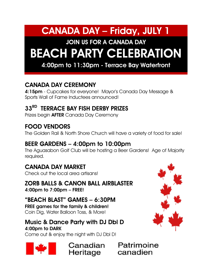### **CANADA DAY – Friday, JULY 1**

### **JOIN US FOR A CANADA DAY BEACH PARTY CELEBRATION**

**4:00pm to 11:30pm - Terrace Bay Waterfront**

### **CANADA DAY CEREMONY**

**4:15pm** - Cupcakes for everyone! Mayor's Canada Day Message & Sports Wall of Fame Inductees announced!

### **33RD TERRACE BAY FISH DERBY PRIZES**

Prizes begin **AFTER** Canada Day Ceremony

### **FOOD VENDORS**

The Golden Rail & North Shore Church will have a variety of food for sale!

### **BEER GARDENS – 4:00pm to 10:00pm**

The Aguasabon Golf Club will be hosting a Beer Gardens! Age of Majority required.

### **CANADA DAY MARKET**

Check out the local area artisans!

### **ZORB BALLS & CANON BALL AIRBLASTER**

**4:00pm to 7:00pm – FREE!**

#### **"BEACH BLAST" GAMES – 6:30PM**

**FREE games for the family & children!** Coin Dig, Water Balloon Toss, & More!

#### **Music & Dance Party with DJ Dbl D 4:00pm to DARK** Come out & enjoy the night with DJ Dbl D!

Heritage